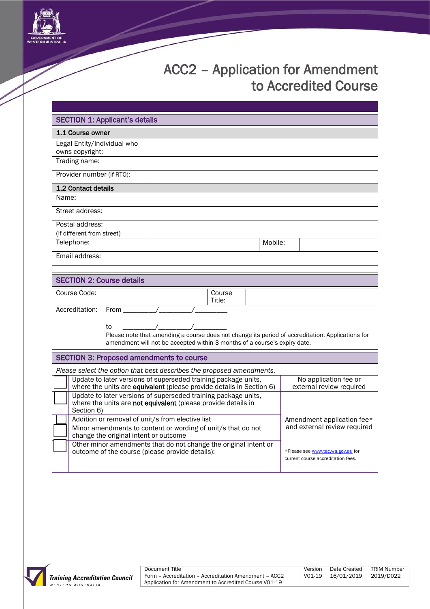

## ACC2 – Application for Amendment to Accredited Course

| <b>SECTION 1: Applicant's details</b>          |         |  |  |  |  |
|------------------------------------------------|---------|--|--|--|--|
| 1.1 Course owner                               |         |  |  |  |  |
| Legal Entity/Individual who<br>owns copyright: |         |  |  |  |  |
| Trading name:                                  |         |  |  |  |  |
| Provider number (if RTO):                      |         |  |  |  |  |
| 1.2 Contact details                            |         |  |  |  |  |
| Name:                                          |         |  |  |  |  |
| Street address:                                |         |  |  |  |  |
| Postal address:                                |         |  |  |  |  |
| (if different from street)                     |         |  |  |  |  |
| Telephone:                                     | Mobile: |  |  |  |  |
| Email address:                                 |         |  |  |  |  |

| <b>SECTION 2: Course details</b>                                                                                                              |                                                 |                                                                                                                                                                                                    |        |                                                                         |  |  |
|-----------------------------------------------------------------------------------------------------------------------------------------------|-------------------------------------------------|----------------------------------------------------------------------------------------------------------------------------------------------------------------------------------------------------|--------|-------------------------------------------------------------------------|--|--|
| Course Code:                                                                                                                                  |                                                 | Title:                                                                                                                                                                                             | Course |                                                                         |  |  |
|                                                                                                                                               | Accreditation:                                  | <b>From</b><br>to<br>Please note that amending a course does not change its period of accreditation. Applications for<br>amendment will not be accepted within 3 months of a course's expiry date. |        |                                                                         |  |  |
|                                                                                                                                               |                                                 |                                                                                                                                                                                                    |        |                                                                         |  |  |
|                                                                                                                                               | <b>SECTION 3: Proposed amendments to course</b> |                                                                                                                                                                                                    |        |                                                                         |  |  |
|                                                                                                                                               |                                                 | Please select the option that best describes the proposed amendments.                                                                                                                              |        |                                                                         |  |  |
| Update to later versions of superseded training package units,<br>where the units are equivalent (please provide details in Section 6)        |                                                 | No application fee or<br>external review required                                                                                                                                                  |        |                                                                         |  |  |
| Update to later versions of superseded training package units,<br>where the units are not equivalent (please provide details in<br>Section 6) |                                                 |                                                                                                                                                                                                    |        |                                                                         |  |  |
|                                                                                                                                               |                                                 | Addition or removal of unit/s from elective list                                                                                                                                                   |        | Amendment application fee*                                              |  |  |
| and external review required<br>Minor amendments to content or wording of unit/s that do not<br>change the original intent or outcome         |                                                 |                                                                                                                                                                                                    |        |                                                                         |  |  |
|                                                                                                                                               |                                                 | Other minor amendments that do not change the original intent or<br>outcome of the course (please provide details):                                                                                |        | *Please see www.tac.wa.gov.au for<br>current course accreditation fees. |  |  |

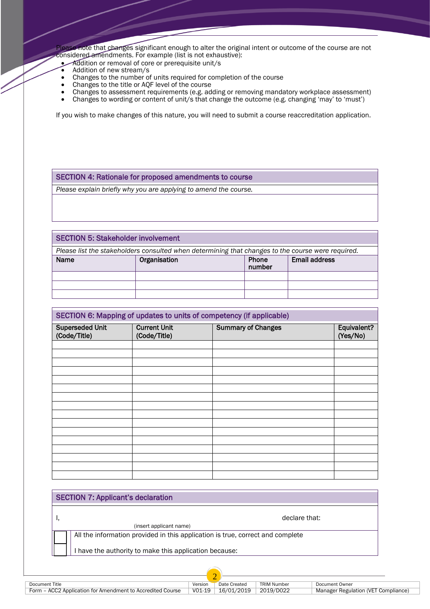Please note that changes significant enough to alter the original intent or outcome of the course are not considered amendments. For example (list is not exhaustive):

- Addition or removal of core or prerequisite unit/s
- Addition of new stream/s
- Changes to the number of units required for completion of the course
- Changes to the title or AQF level of the course
- Changes to assessment requirements (e.g. adding or removing mandatory workplace assessment)
- Changes to wording or content of unit/s that change the outcome (e.g. changing 'may' to 'must')

If you wish to make changes of this nature, you will need to submit a course reaccreditation application.

## SECTION 4: Rationale for proposed amendments to course

*Please explain briefly why you are applying to amend the course.*

## SECTION 5: Stakeholder involvement *Please list the stakeholders consulted when determining that changes to the course were required.* Name | Organisation | Phone number Email address

| SECTION 6: Mapping of updates to units of competency (if applicable) |                                     |                           |                         |  |
|----------------------------------------------------------------------|-------------------------------------|---------------------------|-------------------------|--|
|                                                                      |                                     |                           |                         |  |
| <b>Superseded Unit</b><br>(Code/Title)                               | <b>Current Unit</b><br>(Code/Title) | <b>Summary of Changes</b> | Equivalent?<br>(Yes/No) |  |
|                                                                      |                                     |                           |                         |  |
|                                                                      |                                     |                           |                         |  |
|                                                                      |                                     |                           |                         |  |
|                                                                      |                                     |                           |                         |  |
|                                                                      |                                     |                           |                         |  |
|                                                                      |                                     |                           |                         |  |
|                                                                      |                                     |                           |                         |  |
|                                                                      |                                     |                           |                         |  |
|                                                                      |                                     |                           |                         |  |
|                                                                      |                                     |                           |                         |  |
|                                                                      |                                     |                           |                         |  |
|                                                                      |                                     |                           |                         |  |
|                                                                      |                                     |                           |                         |  |
|                                                                      |                                     |                           |                         |  |
|                                                                      |                                     |                           |                         |  |
|                                                                      |                                     |                           |                         |  |

| <b>SECTION 7: Applicant's declaration</b> |                                                                                |  |  |
|-------------------------------------------|--------------------------------------------------------------------------------|--|--|
|                                           | declare that:<br>(insert applicant name)                                       |  |  |
|                                           | All the information provided in this application is true, correct and complete |  |  |
|                                           | I have the authority to make this application because:                         |  |  |

2